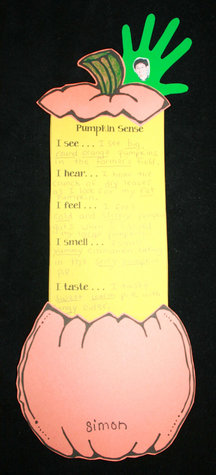

# Pumpkin Sense

Isee... Isee big round orange pumpkins in the farmer's field. I hear... I hear the crunch of dry leaves as I look for my fat I feel... I feal cold and slimy pumpkin guts when L CATVed Umy large pumpkin. I smell... I small

yummy cihhamon buting in the spicy pumpkin

I taste... I taste sweet warm pie with cider. y pag

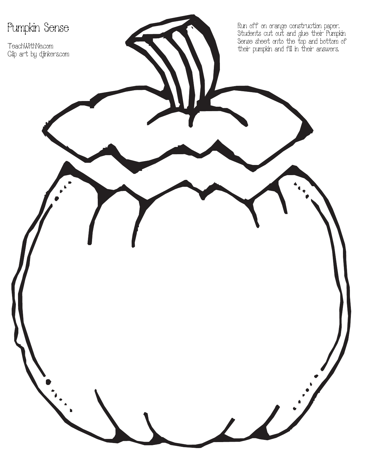